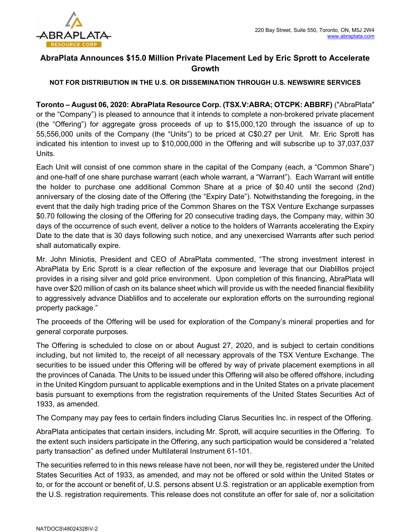

## AbraPlata Announces \$15.0 Million Private Placement Led by Eric Sprott to Accelerate Growth

## NOT FOR DISTRIBUTION IN THE U.S. OR DISSEMINATION THROUGH U.S. NEWSWIRE SERVICES

Toronto – August 06, 2020: AbraPlata Resource Corp. (TSX.V:ABRA; OTCPK: ABBRF) ("AbraPlata" or the "Company") is pleased to announce that it intends to complete a non-brokered private placement (the "Offering") for aggregate gross proceeds of up to \$15,000,120 through the issuance of up to 55,556,000 units of the Company (the "Units") to be priced at C\$0.27 per Unit. Mr. Eric Sprott has indicated his intention to invest up to \$10,000,000 in the Offering and will subscribe up to 37,037,037 Units.

Each Unit will consist of one common share in the capital of the Company (each, a "Common Share") and one-half of one share purchase warrant (each whole warrant, a "Warrant"). Each Warrant will entitle the holder to purchase one additional Common Share at a price of \$0.40 until the second (2nd) anniversary of the closing date of the Offering (the "Expiry Date"). Notwithstanding the foregoing, in the event that the daily high trading price of the Common Shares on the TSX Venture Exchange surpasses \$0.70 following the closing of the Offering for 20 consecutive trading days, the Company may, within 30 days of the occurrence of such event, deliver a notice to the holders of Warrants accelerating the Expiry Date to the date that is 30 days following such notice, and any unexercised Warrants after such period shall automatically expire.

Mr. John Miniotis, President and CEO of AbraPlata commented, "The strong investment interest in AbraPlata by Eric Sprott is a clear reflection of the exposure and leverage that our Diablillos project provides in a rising silver and gold price environment. Upon completion of this financing, AbraPlata will have over \$20 million of cash on its balance sheet which will provide us with the needed financial flexibility to aggressively advance Diablillos and to accelerate our exploration efforts on the surrounding regional property package."

The proceeds of the Offering will be used for exploration of the Company's mineral properties and for general corporate purposes.

The Offering is scheduled to close on or about August 27, 2020, and is subject to certain conditions including, but not limited to, the receipt of all necessary approvals of the TSX Venture Exchange. The securities to be issued under this Offering will be offered by way of private placement exemptions in all the provinces of Canada. The Units to be issued under this Offering will also be offered offshore, including in the United Kingdom pursuant to applicable exemptions and in the United States on a private placement basis pursuant to exemptions from the registration requirements of the United States Securities Act of 1933, as amended.

The Company may pay fees to certain finders including Clarus Securities Inc. in respect of the Offering.

AbraPlata anticipates that certain insiders, including Mr. Sprott, will acquire securities in the Offering. To the extent such insiders participate in the Offering, any such participation would be considered a "related party transaction" as defined under Multilateral Instrument 61-101.

The securities referred to in this news release have not been, nor will they be, registered under the United States Securities Act of 1933, as amended, and may not be offered or sold within the United States or to, or for the account or benefit of, U.S. persons absent U.S. registration or an applicable exemption from the U.S. registration requirements. This release does not constitute an offer for sale of, nor a solicitation